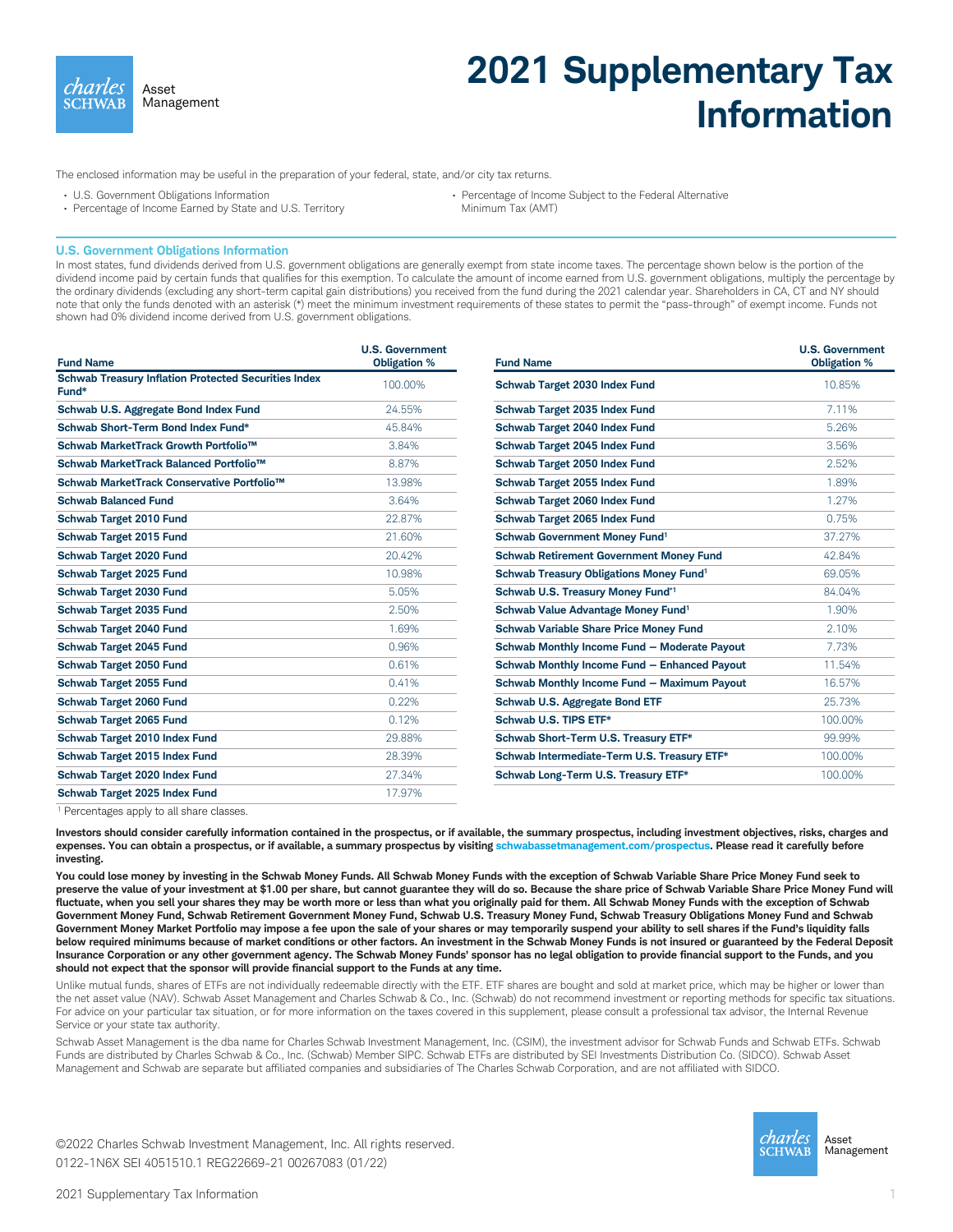charles Asset Mana Management

## **2021 Supplementary Tax Information**

The enclosed information may be useful in the preparation of your federal, state, and/or city tax returns.

- U.S. Government Obligations Information
- Percentage of Income Earned by State and U.S. Territory

Minimum Tax (AMT)

## **U.S. Government Obligations Information**

In most states, fund dividends derived from U.S. government obligations are generally exempt from state income taxes. The percentage shown below is the portion of the dividend income paid by certain funds that qualifies for this exemption. To calculate the amount of income earned from U.S. government obligations, multiply the percentage by the ordinary dividends (excluding any short-term capital gain distributions) you received from the fund during the 2021 calendar year. Shareholders in CA, CT and NY should note that only the funds denoted with an asterisk (\*) meet the minimum investment requirements of these states to permit the "pass-through" of exempt income. Funds not shown had 0% dividend income derived from U.S. government obligations.

| <b>Fund Name</b>                                                     | <b>U.S. Government</b><br><b>Obligation %</b> | <b>Fund Name</b>                                       | <b>U.S. Government</b><br><b>Obligation %</b> |
|----------------------------------------------------------------------|-----------------------------------------------|--------------------------------------------------------|-----------------------------------------------|
| <b>Schwab Treasury Inflation Protected Securities Index</b><br>Fund* | 100.00%                                       | Schwab Target 2030 Index Fund                          | 10.85%                                        |
| Schwab U.S. Aggregate Bond Index Fund                                | 24.55%                                        | Schwab Target 2035 Index Fund                          | 7.11%                                         |
| Schwab Short-Term Bond Index Fund*                                   | 45.84%                                        | Schwab Target 2040 Index Fund                          | 5.26%                                         |
| Schwab MarketTrack Growth Portfolio™                                 | 3.84%                                         | Schwab Target 2045 Index Fund                          | 3.56%                                         |
| Schwab MarketTrack Balanced Portfolio™                               | 8.87%                                         | Schwab Target 2050 Index Fund                          | 2.52%                                         |
| Schwab MarketTrack Conservative Portfolio™                           | 13.98%                                        | Schwab Target 2055 Index Fund                          | 1.89%                                         |
| <b>Schwab Balanced Fund</b>                                          | 3.64%                                         | Schwab Target 2060 Index Fund                          | 1.27%                                         |
| Schwab Target 2010 Fund                                              | 22.87%                                        | Schwab Target 2065 Index Fund                          | 0.75%                                         |
| Schwab Target 2015 Fund                                              | 21.60%                                        | Schwab Government Money Fund <sup>1</sup>              | 37.27%                                        |
| Schwab Target 2020 Fund                                              | 20.42%                                        | <b>Schwab Retirement Government Money Fund</b>         | 42.84%                                        |
| Schwab Target 2025 Fund                                              | 10.98%                                        | <b>Schwab Treasury Obligations Money Fund1</b>         | 69.05%                                        |
| Schwab Target 2030 Fund                                              | 5.05%                                         | Schwab U.S. Treasury Money Fund*1                      | 84.04%                                        |
| Schwab Target 2035 Fund                                              | 2.50%                                         | Schwab Value Advantage Money Fund <sup>1</sup>         | 1.90%                                         |
| <b>Schwab Target 2040 Fund</b>                                       | 1.69%                                         | <b>Schwab Variable Share Price Money Fund</b>          | 2.10%                                         |
| Schwab Target 2045 Fund                                              | 0.96%                                         | Schwab Monthly Income Fund - Moderate Payout           | 7.73%                                         |
| Schwab Target 2050 Fund                                              | 0.61%                                         | Schwab Monthly Income Fund - Enhanced Payout           | 11.54%                                        |
| Schwab Target 2055 Fund                                              | 0.41%                                         | Schwab Monthly Income Fund - Maximum Payout            | 16.57%                                        |
| Schwab Target 2060 Fund                                              | 0.22%                                         | Schwab U.S. Aggregate Bond ETF                         | 25.73%                                        |
| Schwab Target 2065 Fund                                              | 0.12%                                         | Schwab U.S. TIPS ETF*                                  | 100.00%                                       |
| Schwab Target 2010 Index Fund                                        | 29.88%                                        | Schwab Short-Term U.S. Treasury ETF*                   | 99.99%                                        |
| Schwab Target 2015 Index Fund                                        | 28.39%                                        | Schwab Intermediate-Term U.S. Treasury ETF*<br>100.00% |                                               |
| Schwab Target 2020 Index Fund                                        | 27.34%                                        | Schwab Long-Term U.S. Treasury ETF*                    | 100.00%                                       |
| Schwab Target 2025 Index Fund                                        | 17.97%                                        |                                                        |                                               |

<sup>1</sup> Percentages apply to all share classes.

**Investors should consider carefully information contained in the prospectus, or if available, the summary prospectus, including investment objectives, risks, charges and expenses. You can obtain a prospectus, or if available, a summary prospectus by visiting schwabassetmanagement.com/prospectus. Please read it carefully before investing.**

**You could lose money by investing in the Schwab Money Funds. All Schwab Money Funds with the exception of Schwab Variable Share Price Money Fund seek to preserve the value of your investment at \$1.00 per share, but cannot guarantee they will do so. Because the share price of Schwab Variable Share Price Money Fund will fluctuate, when you sell your shares they may be worth more or less than what you originally paid for them. All Schwab Money Funds with the exception of Schwab Government Money Fund, Schwab Retirement Government Money Fund, Schwab U.S. Treasury Money Fund, Schwab Treasury Obligations Money Fund and Schwab Government Money Market Portfolio may impose a fee upon the sale of your shares or may temporarily suspend your ability to sell shares if the Fund's liquidity falls below required minimums because of market conditions or other factors. An investment in the Schwab Money Funds is not insured or guaranteed by the Federal Deposit Insurance Corporation or any other government agency. The Schwab Money Funds' sponsor has no legal obligation to provide financial support to the Funds, and you should not expect that the sponsor will provide financial support to the Funds at any time.**

Unlike mutual funds, shares of ETFs are not individually redeemable directly with the ETF. ETF shares are bought and sold at market price, which may be higher or lower than the net asset value (NAV). Schwab Asset Management and Charles Schwab & Co., Inc. (Schwab) do not recommend investment or reporting methods for specific tax situations. For advice on your particular tax situation, or for more information on the taxes covered in this supplement, please consult a professional tax advisor, the Internal Revenue Service or your state tax authority.

Schwab Asset Management is the dba name for Charles Schwab Investment Management, Inc. (CSIM), the investment advisor for Schwab Funds and Schwab ETFs. Schwab Funds are distributed by Charles Schwab & Co., Inc. (Schwab) Member SIPC. Schwab ETFs are distributed by SEI Investments Distribution Co. (SIDCO). Schwab Asset Management and Schwab are separate but affiliated companies and subsidiaries of The Charles Schwab Corporation, and are not affiliated with SIDCO.

Management ©2022 Charles Schwab Investment Management, Inc. All rights reserved. 0122-1N6X SEI 4051510.1 REG22669-21 00267083(01/22)



<sup>•</sup> Percentage of Income Subject to the Federal Alternative